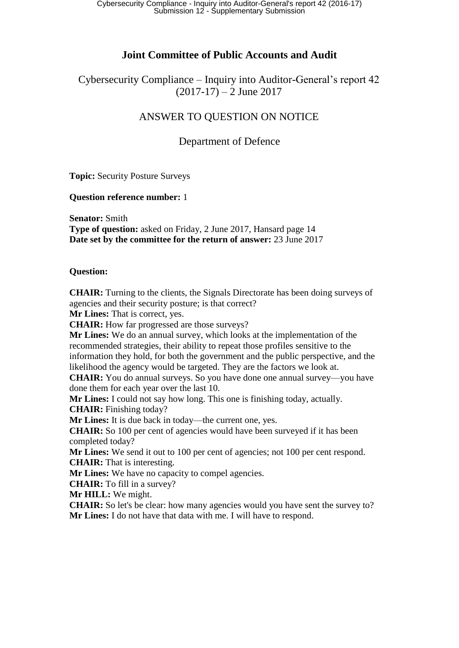## **Joint Committee of Public Accounts and Audit**

Cybersecurity Compliance – Inquiry into Auditor-General's report 42  $(2017-17) - 2$  June 2017

# ANSWER TO QUESTION ON NOTICE

## Department of Defence

**Topic:** Security Posture Surveys

**Question reference number:** 1

**Senator:** Smith **Type of question:** asked on Friday, 2 June 2017, Hansard page 14 **Date set by the committee for the return of answer:** 23 June 2017

### **Question:**

**CHAIR:** Turning to the clients, the Signals Directorate has been doing surveys of agencies and their security posture; is that correct?

**Mr Lines:** That is correct, yes.

**CHAIR:** How far progressed are those surveys?

**Mr Lines:** We do an annual survey, which looks at the implementation of the recommended strategies, their ability to repeat those profiles sensitive to the information they hold, for both the government and the public perspective, and the likelihood the agency would be targeted. They are the factors we look at.

**CHAIR:** You do annual surveys. So you have done one annual survey—you have done them for each year over the last 10.

**Mr Lines:** I could not say how long. This one is finishing today, actually.

**CHAIR:** Finishing today?

**Mr Lines:** It is due back in today—the current one, yes.

**CHAIR:** So 100 per cent of agencies would have been surveyed if it has been completed today?

**Mr Lines:** We send it out to 100 per cent of agencies; not 100 per cent respond. **CHAIR:** That is interesting.

**Mr Lines:** We have no capacity to compel agencies.

**CHAIR:** To fill in a survey?

**Mr HILL:** We might.

**CHAIR:** So let's be clear: how many agencies would you have sent the survey to? **Mr Lines:** I do not have that data with me. I will have to respond.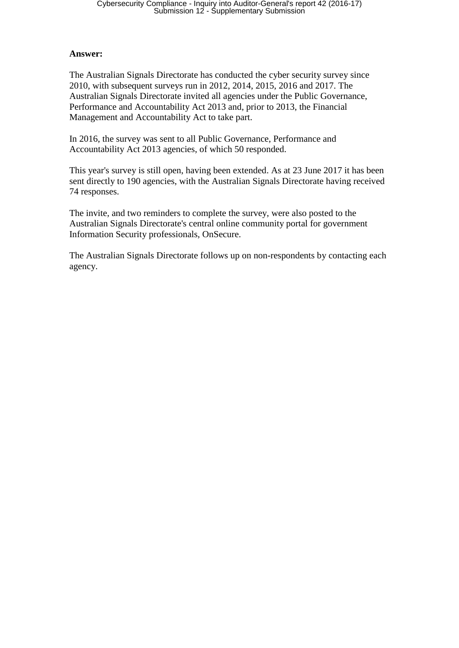#### **Answer:**

The Australian Signals Directorate has conducted the cyber security survey since 2010, with subsequent surveys run in 2012, 2014, 2015, 2016 and 2017. The Australian Signals Directorate invited all agencies under the Public Governance, Performance and Accountability Act 2013 and, prior to 2013, the Financial Management and Accountability Act to take part.

In 2016, the survey was sent to all Public Governance, Performance and Accountability Act 2013 agencies, of which 50 responded.

This year's survey is still open, having been extended. As at 23 June 2017 it has been sent directly to 190 agencies, with the Australian Signals Directorate having received 74 responses.

The invite, and two reminders to complete the survey, were also posted to the Australian Signals Directorate's central online community portal for government Information Security professionals, OnSecure.

The Australian Signals Directorate follows up on non-respondents by contacting each agency.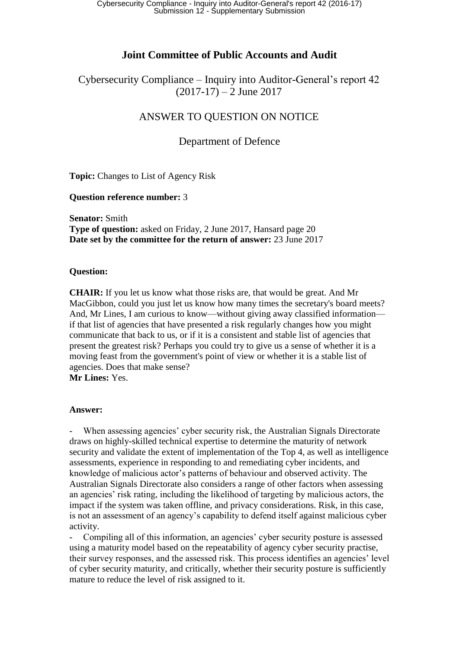## **Joint Committee of Public Accounts and Audit**

Cybersecurity Compliance – Inquiry into Auditor-General's report 42  $(2017-17) - 2$  June 2017

## ANSWER TO QUESTION ON NOTICE

### Department of Defence

**Topic:** Changes to List of Agency Risk

#### **Question reference number:** 3

**Senator:** Smith **Type of question:** asked on Friday, 2 June 2017, Hansard page 20 **Date set by the committee for the return of answer:** 23 June 2017

#### **Question:**

**CHAIR:** If you let us know what those risks are, that would be great. And Mr MacGibbon, could you just let us know how many times the secretary's board meets? And, Mr Lines, I am curious to know—without giving away classified information if that list of agencies that have presented a risk regularly changes how you might communicate that back to us, or if it is a consistent and stable list of agencies that present the greatest risk? Perhaps you could try to give us a sense of whether it is a moving feast from the government's point of view or whether it is a stable list of agencies. Does that make sense?

**Mr Lines:** Yes.

#### **Answer:**

When assessing agencies' cyber security risk, the Australian Signals Directorate draws on highly-skilled technical expertise to determine the maturity of network security and validate the extent of implementation of the Top 4, as well as intelligence assessments, experience in responding to and remediating cyber incidents, and knowledge of malicious actor's patterns of behaviour and observed activity. The Australian Signals Directorate also considers a range of other factors when assessing an agencies' risk rating, including the likelihood of targeting by malicious actors, the impact if the system was taken offline, and privacy considerations. Risk, in this case, is not an assessment of an agency's capability to defend itself against malicious cyber activity.

- Compiling all of this information, an agencies' cyber security posture is assessed using a maturity model based on the repeatability of agency cyber security practise, their survey responses, and the assessed risk. This process identifies an agencies' level of cyber security maturity, and critically, whether their security posture is sufficiently mature to reduce the level of risk assigned to it.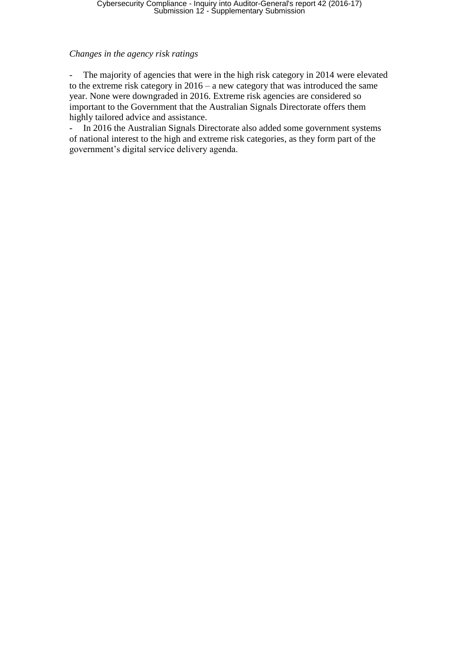#### *Changes in the agency risk ratings*

- The majority of agencies that were in the high risk category in 2014 were elevated to the extreme risk category in 2016 – a new category that was introduced the same year. None were downgraded in 2016. Extreme risk agencies are considered so important to the Government that the Australian Signals Directorate offers them highly tailored advice and assistance.

- In 2016 the Australian Signals Directorate also added some government systems of national interest to the high and extreme risk categories, as they form part of the government's digital service delivery agenda.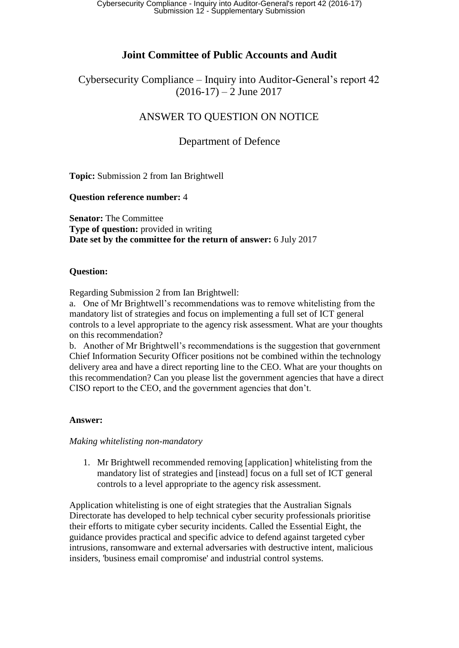# **Joint Committee of Public Accounts and Audit**

Cybersecurity Compliance – Inquiry into Auditor-General's report 42  $(2016-17) - 2$  June 2017

# ANSWER TO QUESTION ON NOTICE

## Department of Defence

**Topic:** Submission 2 from Ian Brightwell

**Question reference number:** 4

**Senator:** The Committee **Type of question:** provided in writing **Date set by the committee for the return of answer:** 6 July 2017

### **Question:**

Regarding Submission 2 from Ian Brightwell:

a. One of Mr Brightwell's recommendations was to remove whitelisting from the mandatory list of strategies and focus on implementing a full set of ICT general controls to a level appropriate to the agency risk assessment. What are your thoughts on this recommendation?

b. Another of Mr Brightwell's recommendations is the suggestion that government Chief Information Security Officer positions not be combined within the technology delivery area and have a direct reporting line to the CEO. What are your thoughts on this recommendation? Can you please list the government agencies that have a direct CISO report to the CEO, and the government agencies that don't.

### **Answer:**

### *Making whitelisting non-mandatory*

1. Mr Brightwell recommended removing [application] whitelisting from the mandatory list of strategies and [instead] focus on a full set of ICT general controls to a level appropriate to the agency risk assessment.

Application whitelisting is one of eight strategies that the Australian Signals Directorate has developed to help technical cyber security professionals prioritise their efforts to mitigate cyber security incidents. Called the Essential Eight, the guidance provides practical and specific advice to defend against targeted cyber intrusions, ransomware and external adversaries with destructive intent, malicious insiders, 'business email compromise' and industrial control systems.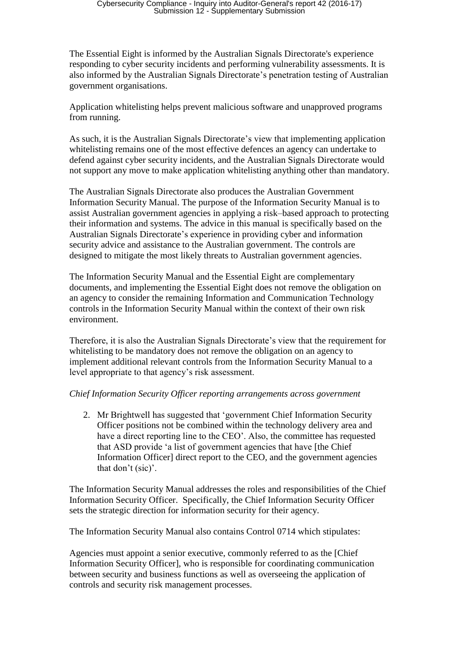The Essential Eight is informed by the Australian Signals Directorate's experience responding to cyber security incidents and performing vulnerability assessments. It is also informed by the Australian Signals Directorate's penetration testing of Australian government organisations.

Application whitelisting helps prevent malicious software and unapproved programs from running.

As such, it is the Australian Signals Directorate's view that implementing application whitelisting remains one of the most effective defences an agency can undertake to defend against cyber security incidents, and the Australian Signals Directorate would not support any move to make application whitelisting anything other than mandatory.

The Australian Signals Directorate also produces the Australian Government Information Security Manual. The purpose of the Information Security Manual is to assist Australian government agencies in applying a risk–based approach to protecting their information and systems. The advice in this manual is specifically based on the Australian Signals Directorate's experience in providing cyber and information security advice and assistance to the Australian government. The controls are designed to mitigate the most likely threats to Australian government agencies.

The Information Security Manual and the Essential Eight are complementary documents, and implementing the Essential Eight does not remove the obligation on an agency to consider the remaining Information and Communication Technology controls in the Information Security Manual within the context of their own risk environment.

Therefore, it is also the Australian Signals Directorate's view that the requirement for whitelisting to be mandatory does not remove the obligation on an agency to implement additional relevant controls from the Information Security Manual to a level appropriate to that agency's risk assessment.

### *Chief Information Security Officer reporting arrangements across government*

2. Mr Brightwell has suggested that 'government Chief Information Security Officer positions not be combined within the technology delivery area and have a direct reporting line to the CEO'. Also, the committee has requested that ASD provide 'a list of government agencies that have [the Chief Information Officer] direct report to the CEO, and the government agencies that don't (sic)'.

The Information Security Manual addresses the roles and responsibilities of the Chief Information Security Officer. Specifically, the Chief Information Security Officer sets the strategic direction for information security for their agency.

The Information Security Manual also contains Control 0714 which stipulates:

Agencies must appoint a senior executive, commonly referred to as the [Chief Information Security Officer], who is responsible for coordinating communication between security and business functions as well as overseeing the application of controls and security risk management processes.